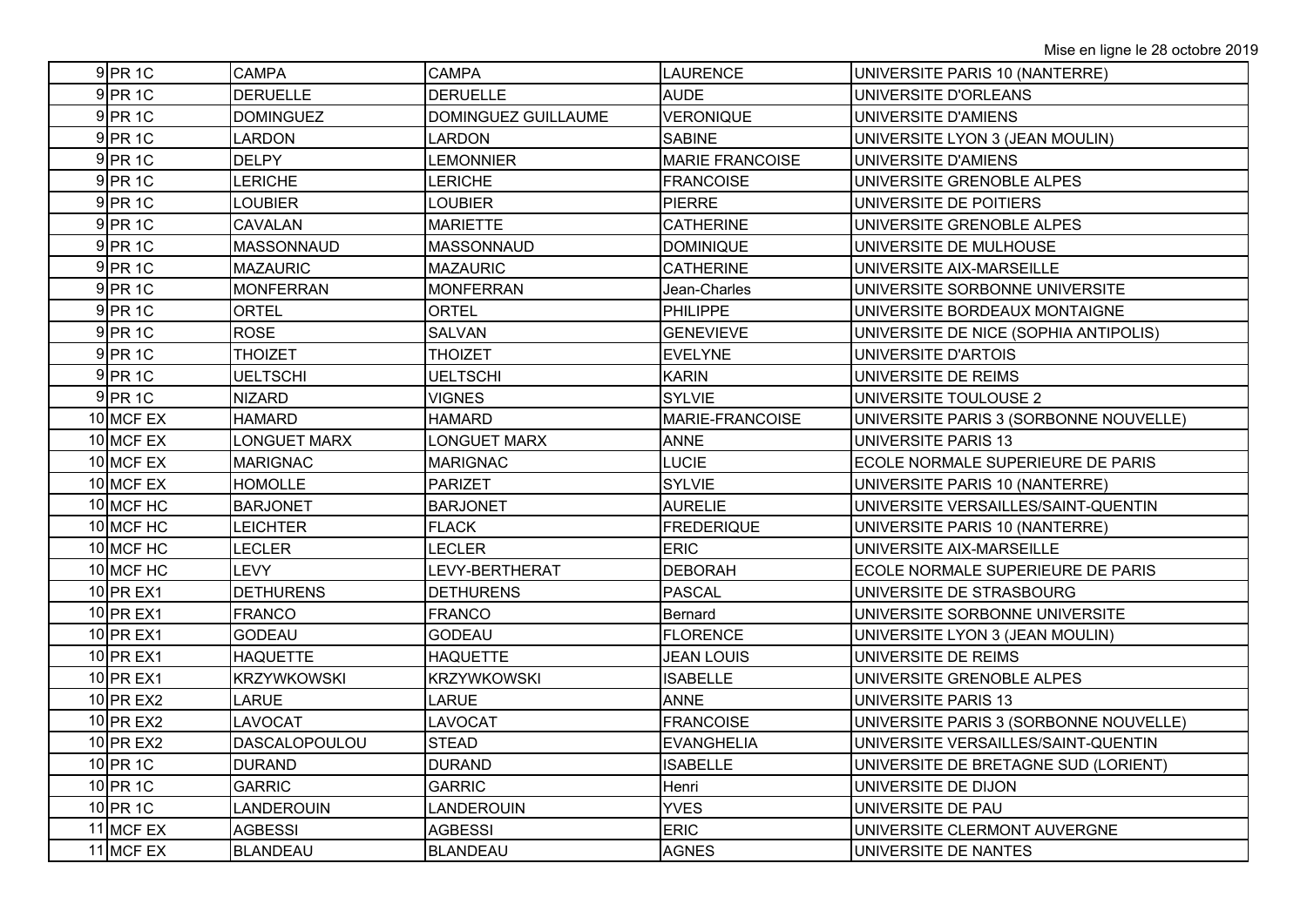| $9$ PR 1C  | <b>CAMPA</b>         | <b>CAMPA</b>        | <b>LAURENCE</b>        | UNIVERSITE PARIS 10 (NANTERRE)         |
|------------|----------------------|---------------------|------------------------|----------------------------------------|
| $9$ PR 1C  | <b>DERUELLE</b>      | <b>DERUELLE</b>     | <b>AUDE</b>            | UNIVERSITE D'ORLEANS                   |
| $9$ PR 1C  | <b>DOMINGUEZ</b>     | DOMINGUEZ GUILLAUME | <b>VERONIQUE</b>       | UNIVERSITE D'AMIENS                    |
| $9$ PR 1C  | <b>LARDON</b>        | <b>LARDON</b>       | <b>SABINE</b>          | UNIVERSITE LYON 3 (JEAN MOULIN)        |
| $9$ PR 1C  | <b>DELPY</b>         | <b>LEMONNIER</b>    | <b>MARIE FRANCOISE</b> | UNIVERSITE D'AMIENS                    |
| $9$ PR 1C  | <b>LERICHE</b>       | <b>LERICHE</b>      | <b>FRANCOISE</b>       | UNIVERSITE GRENOBLE ALPES              |
| $9$ PR 1C  | <b>LOUBIER</b>       | <b>LOUBIER</b>      | <b>PIERRE</b>          | UNIVERSITE DE POITIERS                 |
| $9$ PR 1C  | CAVALAN              | <b>MARIETTE</b>     | <b>CATHERINE</b>       | UNIVERSITE GRENOBLE ALPES              |
| $9$ PR 1C  | <b>MASSONNAUD</b>    | <b>MASSONNAUD</b>   | <b>DOMINIQUE</b>       | UNIVERSITE DE MULHOUSE                 |
| $9$ PR 1C  | <b>MAZAURIC</b>      | <b>MAZAURIC</b>     | <b>CATHERINE</b>       | UNIVERSITE AIX-MARSEILLE               |
| $9$ PR 1C  | <b>MONFERRAN</b>     | <b>MONFERRAN</b>    | Jean-Charles           | UNIVERSITE SORBONNE UNIVERSITE         |
| $9$ PR 1C  | <b>ORTEL</b>         | <b>ORTEL</b>        | <b>PHILIPPE</b>        | UNIVERSITE BORDEAUX MONTAIGNE          |
| 9 PR 1C    | <b>ROSE</b>          | <b>SALVAN</b>       | <b>GENEVIEVE</b>       | UNIVERSITE DE NICE (SOPHIA ANTIPOLIS)  |
| 9 PR 1C    | THOIZET              | THOIZET             | <b>EVELYNE</b>         | UNIVERSITE D'ARTOIS                    |
| 9 PR 1C    | <b>UELTSCHI</b>      | <b>UELTSCHI</b>     | <b>KARIN</b>           | UNIVERSITE DE REIMS                    |
| 9 PR 1C    | <b>NIZARD</b>        | <b>VIGNES</b>       | <b>SYLVIE</b>          | UNIVERSITE TOULOUSE 2                  |
| 10 MCF EX  | <b>HAMARD</b>        | <b>HAMARD</b>       | MARIE-FRANCOISE        | UNIVERSITE PARIS 3 (SORBONNE NOUVELLE) |
| 10 MCF EX  | <b>LONGUET MARX</b>  | <b>LONGUET MARX</b> | <b>ANNE</b>            | <b>UNIVERSITE PARIS 13</b>             |
| 10 MCF EX  | <b>MARIGNAC</b>      | <b>MARIGNAC</b>     | <b>LUCIE</b>           | ECOLE NORMALE SUPERIEURE DE PARIS      |
| 10 MCF EX  | <b>HOMOLLE</b>       | <b>PARIZET</b>      | <b>SYLVIE</b>          | UNIVERSITE PARIS 10 (NANTERRE)         |
| 10 MCF HC  | <b>BARJONET</b>      | <b>BARJONET</b>     | <b>AURELIE</b>         | UNIVERSITE VERSAILLES/SAINT-QUENTIN    |
| 10 MCF HC  | <b>LEICHTER</b>      | <b>FLACK</b>        | <b>FREDERIQUE</b>      | UNIVERSITE PARIS 10 (NANTERRE)         |
| 10 MCF HC  | LECLER               | LECLER              | <b>ERIC</b>            | UNIVERSITE AIX-MARSEILLE               |
| 10 MCF HC  | <b>LEVY</b>          | LEVY-BERTHERAT      | <b>DEBORAH</b>         | ECOLE NORMALE SUPERIEURE DE PARIS      |
| 10 PR EX1  | <b>DETHURENS</b>     | <b>DETHURENS</b>    | <b>PASCAL</b>          | UNIVERSITE DE STRASBOURG               |
| 10 PR EX1  | <b>FRANCO</b>        | <b>FRANCO</b>       | Bernard                | UNIVERSITE SORBONNE UNIVERSITE         |
| 10 PR EX1  | <b>GODEAU</b>        | <b>GODEAU</b>       | <b>FLORENCE</b>        | UNIVERSITE LYON 3 (JEAN MOULIN)        |
| 10 PR EX1  | <b>HAQUETTE</b>      | <b>HAQUETTE</b>     | <b>JEAN LOUIS</b>      | UNIVERSITE DE REIMS                    |
| 10 PR EX1  | <b>KRZYWKOWSKI</b>   | <b>KRZYWKOWSKI</b>  | <b>ISABELLE</b>        | UNIVERSITE GRENOBLE ALPES              |
| 10 PR EX2  | LARUE                | LARUE               | <b>ANNE</b>            | <b>UNIVERSITE PARIS 13</b>             |
| 10 PR EX2  | LAVOCAT              | LAVOCAT             | <b>FRANCOISE</b>       | UNIVERSITE PARIS 3 (SORBONNE NOUVELLE) |
| 10 PR EX2  | <b>DASCALOPOULOU</b> | <b>STEAD</b>        | <b>EVANGHELIA</b>      | UNIVERSITE VERSAILLES/SAINT-QUENTIN    |
| $10$ PR 1C | <b>DURAND</b>        | <b>DURAND</b>       | <b>ISABELLE</b>        | UNIVERSITE DE BRETAGNE SUD (LORIENT)   |
| 10 PR 1C   | <b>GARRIC</b>        | <b>GARRIC</b>       | Henri                  | UNIVERSITE DE DIJON                    |
| 10 PR 1C   | LANDEROUIN           | <b>LANDEROUIN</b>   | <b>YVES</b>            | UNIVERSITE DE PAU                      |
| 11 MCF EX  | <b>AGBESSI</b>       | <b>AGBESSI</b>      | <b>ERIC</b>            | UNIVERSITE CLERMONT AUVERGNE           |
| 11 MCF EX  | BLANDEAU             | <b>BLANDEAU</b>     | <b>AGNES</b>           | UNIVERSITE DE NANTES                   |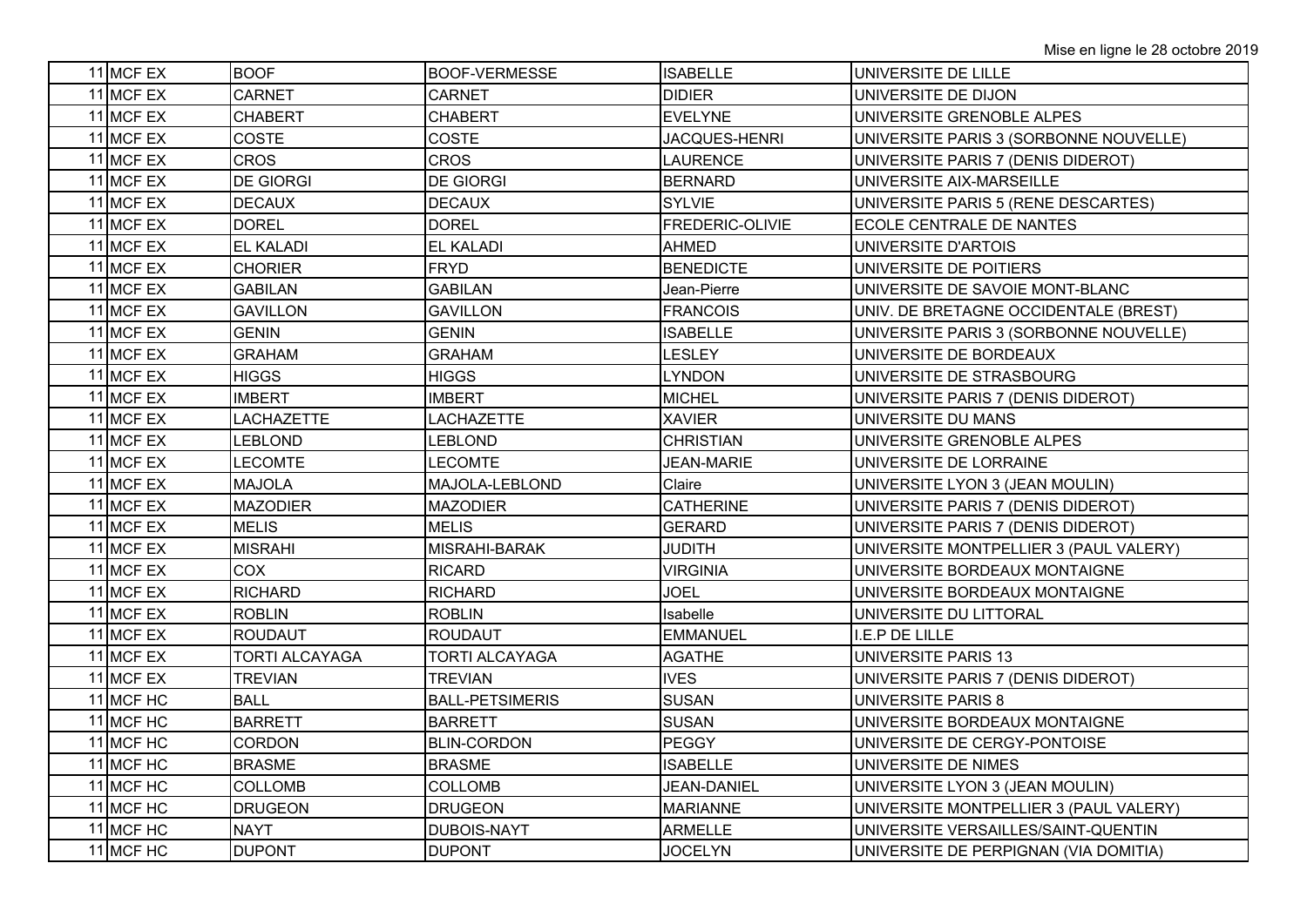| 11 MCF EX | <b>BOOF</b>           | <b>BOOF-VERMESSE</b>   | <b>ISABELLE</b>  | UNIVERSITE DE LILLE                    |
|-----------|-----------------------|------------------------|------------------|----------------------------------------|
| 11 MCF EX | CARNET                | CARNET                 | <b>DIDIER</b>    | UNIVERSITE DE DIJON                    |
| 11 MCF EX | <b>CHABERT</b>        | <b>CHABERT</b>         | <b>EVELYNE</b>   | UNIVERSITE GRENOBLE ALPES              |
| 11 MCF EX | COSTE                 | COSTE                  | JACQUES-HENRI    | UNIVERSITE PARIS 3 (SORBONNE NOUVELLE) |
| 11 MCF EX | <b>CROS</b>           | <b>CROS</b>            | <b>LAURENCE</b>  | UNIVERSITE PARIS 7 (DENIS DIDEROT)     |
| 11 MCF EX | <b>DE GIORGI</b>      | <b>DE GIORGI</b>       | <b>BERNARD</b>   | UNIVERSITE AIX-MARSEILLE               |
| 11 MCF EX | <b>DECAUX</b>         | <b>DECAUX</b>          | <b>SYLVIE</b>    | UNIVERSITE PARIS 5 (RENE DESCARTES)    |
| 11 MCF EX | <b>DOREL</b>          | <b>DOREL</b>           | FREDERIC-OLIVIE  | ECOLE CENTRALE DE NANTES               |
| 11 MCF EX | <b>EL KALADI</b>      | <b>EL KALADI</b>       | AHMED            | UNIVERSITE D'ARTOIS                    |
| 11 MCF EX | <b>CHORIER</b>        | <b>FRYD</b>            | <b>BENEDICTE</b> | UNIVERSITE DE POITIERS                 |
| 11 MCF EX | GABILAN               | <b>GABILAN</b>         | Jean-Pierre      | UNIVERSITE DE SAVOIE MONT-BLANC        |
| 11 MCF EX | <b>GAVILLON</b>       | <b>GAVILLON</b>        | <b>FRANCOIS</b>  | UNIV. DE BRETAGNE OCCIDENTALE (BREST)  |
| 11 MCF EX | <b>GENIN</b>          | <b>GENIN</b>           | <b>ISABELLE</b>  | UNIVERSITE PARIS 3 (SORBONNE NOUVELLE) |
| 11 MCF EX | <b>GRAHAM</b>         | <b>GRAHAM</b>          | <b>LESLEY</b>    | UNIVERSITE DE BORDEAUX                 |
| 11 MCF EX | <b>HIGGS</b>          | <b>HIGGS</b>           | <b>LYNDON</b>    | UNIVERSITE DE STRASBOURG               |
| 11 MCF EX | <b>IMBERT</b>         | <b>IMBERT</b>          | <b>MICHEL</b>    | UNIVERSITE PARIS 7 (DENIS DIDEROT)     |
| 11 MCF EX | <b>LACHAZETTE</b>     | <b>LACHAZETTE</b>      | <b>XAVIER</b>    | UNIVERSITE DU MANS                     |
| 11 MCF EX | LEBLOND               | <b>LEBLOND</b>         | <b>CHRISTIAN</b> | UNIVERSITE GRENOBLE ALPES              |
| 11 MCF EX | <b>LECOMTE</b>        | <b>LECOMTE</b>         | JEAN-MARIE       | UNIVERSITE DE LORRAINE                 |
| 11 MCF EX | <b>MAJOLA</b>         | MAJOLA-LEBLOND         | Claire           | UNIVERSITE LYON 3 (JEAN MOULIN)        |
| 11 MCF EX | <b>MAZODIER</b>       | <b>MAZODIER</b>        | <b>CATHERINE</b> | UNIVERSITE PARIS 7 (DENIS DIDEROT)     |
| 11 MCF EX | <b>MELIS</b>          | <b>MELIS</b>           | <b>GERARD</b>    | UNIVERSITE PARIS 7 (DENIS DIDEROT)     |
| 11 MCF EX | <b>MISRAHI</b>        | MISRAHI-BARAK          | <b>JUDITH</b>    | UNIVERSITE MONTPELLIER 3 (PAUL VALERY) |
| 11 MCF EX | COX                   | <b>RICARD</b>          | <b>VIRGINIA</b>  | UNIVERSITE BORDEAUX MONTAIGNE          |
| 11 MCF EX | <b>RICHARD</b>        | <b>RICHARD</b>         | <b>JOEL</b>      | UNIVERSITE BORDEAUX MONTAIGNE          |
| 11 MCF EX | <b>ROBLIN</b>         | <b>ROBLIN</b>          | Isabelle         | UNIVERSITE DU LITTORAL                 |
| 11 MCF EX | <b>ROUDAUT</b>        | <b>ROUDAUT</b>         | <b>EMMANUEL</b>  | E.P DE LILLE                           |
| 11 MCF EX | <b>TORTI ALCAYAGA</b> | TORTI ALCAYAGA         | <b>AGATHE</b>    | UNIVERSITE PARIS 13                    |
| 11 MCF EX | <b>TREVIAN</b>        | <b>TREVIAN</b>         | <b>IVES</b>      | UNIVERSITE PARIS 7 (DENIS DIDEROT)     |
| 11 MCF HC | <b>BALL</b>           | <b>BALL-PETSIMERIS</b> | <b>SUSAN</b>     | <b>UNIVERSITE PARIS 8</b>              |
| 11 MCF HC | <b>BARRETT</b>        | <b>BARRETT</b>         | <b>SUSAN</b>     | UNIVERSITE BORDEAUX MONTAIGNE          |
| 11 MCF HC | <b>CORDON</b>         | <b>BLIN-CORDON</b>     | <b>PEGGY</b>     | UNIVERSITE DE CERGY-PONTOISE           |
| 11 MCF HC | <b>BRASME</b>         | <b>BRASME</b>          | <b>ISABELLE</b>  | UNIVERSITE DE NIMES                    |
| 11 MCF HC | <b>COLLOMB</b>        | <b>COLLOMB</b>         | JEAN-DANIEL      | UNIVERSITE LYON 3 (JEAN MOULIN)        |
| 11 MCF HC | <b>DRUGEON</b>        | <b>DRUGEON</b>         | <b>MARIANNE</b>  | UNIVERSITE MONTPELLIER 3 (PAUL VALERY) |
| 11 MCF HC | <b>NAYT</b>           | <b>DUBOIS-NAYT</b>     | <b>ARMELLE</b>   | UNIVERSITE VERSAILLES/SAINT-QUENTIN    |
| 11 MCF HC | <b>DUPONT</b>         | <b>DUPONT</b>          | <b>JOCELYN</b>   | UNIVERSITE DE PERPIGNAN (VIA DOMITIA)  |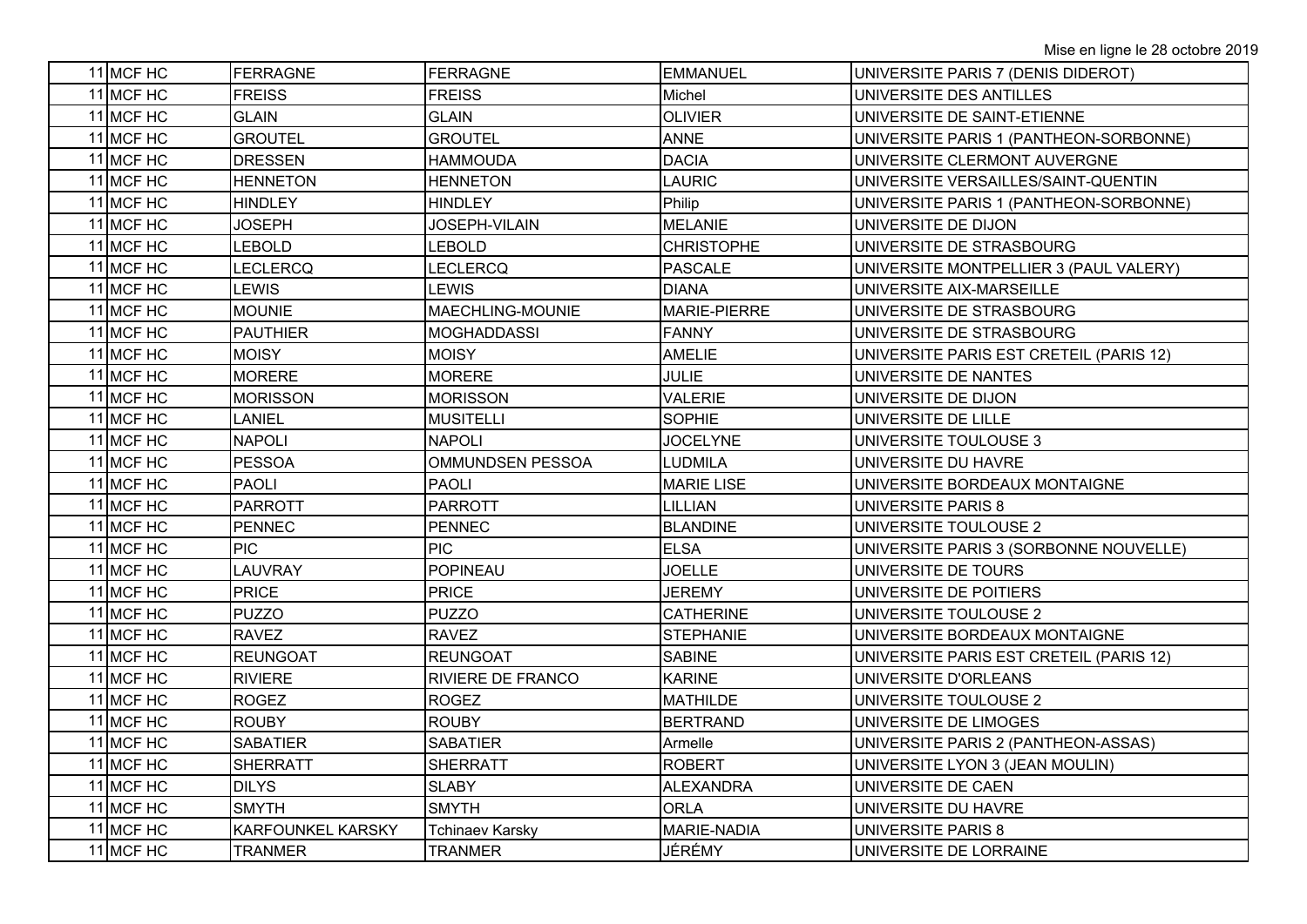| 11 MCF HC | FERRAGNE                 | FERRAGNE                 | <b>EMMANUEL</b>   | UNIVERSITE PARIS 7 (DENIS DIDEROT)      |
|-----------|--------------------------|--------------------------|-------------------|-----------------------------------------|
| 11 MCF HC | <b>FREISS</b>            | <b>FREISS</b>            | Michel            | UNIVERSITE DES ANTILLES                 |
| 11 MCF HC | <b>GLAIN</b>             | <b>GLAIN</b>             | <b>OLIVIER</b>    | UNIVERSITE DE SAINT-ETIENNE             |
| 11 MCF HC | <b>GROUTEL</b>           | <b>GROUTEL</b>           | <b>ANNE</b>       | UNIVERSITE PARIS 1 (PANTHEON-SORBONNE)  |
| 11 MCF HC | <b>DRESSEN</b>           | <b>HAMMOUDA</b>          | <b>DACIA</b>      | UNIVERSITE CLERMONT AUVERGNE            |
| 11 MCF HC | <b>HENNETON</b>          | <b>HENNETON</b>          | <b>LAURIC</b>     | UNIVERSITE VERSAILLES/SAINT-QUENTIN     |
| 11 MCF HC | <b>HINDLEY</b>           | <b>HINDLEY</b>           | Philip            | UNIVERSITE PARIS 1 (PANTHEON-SORBONNE)  |
| 11 MCF HC | <b>JOSEPH</b>            | JOSEPH-VILAIN            | <b>MELANIE</b>    | UNIVERSITE DE DIJON                     |
| 11 MCF HC | LEBOLD                   | <b>LEBOLD</b>            | <b>CHRISTOPHE</b> | UNIVERSITE DE STRASBOURG                |
| 11 MCF HC | LECLERCQ                 | LECLERCQ                 | <b>PASCALE</b>    | UNIVERSITE MONTPELLIER 3 (PAUL VALERY)  |
| 11 MCF HC | <b>LEWIS</b>             | <b>LEWIS</b>             | <b>DIANA</b>      | UNIVERSITE AIX-MARSEILLE                |
| 11 MCF HC | <b>MOUNIE</b>            | MAECHLING-MOUNIE         | MARIE-PIERRE      | UNIVERSITE DE STRASBOURG                |
| 11 MCF HC | <b>PAUTHIER</b>          | <b>MOGHADDASSI</b>       | <b>FANNY</b>      | UNIVERSITE DE STRASBOURG                |
| 11 MCF HC | MOISY                    | <b>MOISY</b>             | <b>AMELIE</b>     | UNIVERSITE PARIS EST CRETEIL (PARIS 12) |
| 11 MCF HC | <b>MORERE</b>            | <b>MORERE</b>            | <b>JULIE</b>      | UNIVERSITE DE NANTES                    |
| 11 MCF HC | <b>MORISSON</b>          | <b>MORISSON</b>          | <b>VALERIE</b>    | UNIVERSITE DE DIJON                     |
| 11 MCF HC | LANIEL                   | <b>MUSITELLI</b>         | <b>SOPHIE</b>     | UNIVERSITE DE LILLE                     |
| 11 MCF HC | <b>NAPOLI</b>            | <b>NAPOLI</b>            | <b>JOCELYNE</b>   | UNIVERSITE TOULOUSE 3                   |
| 11 MCF HC | <b>PESSOA</b>            | OMMUNDSEN PESSOA         | <b>LUDMILA</b>    | UNIVERSITE DU HAVRE                     |
| 11 MCF HC | <b>PAOLI</b>             | <b>PAOLI</b>             | <b>MARIE LISE</b> | UNIVERSITE BORDEAUX MONTAIGNE           |
| 11 MCF HC | <b>PARROTT</b>           | <b>PARROTT</b>           | LILLIAN           | <b>UNIVERSITE PARIS 8</b>               |
| 11 MCF HC | <b>PENNEC</b>            | <b>PENNEC</b>            | <b>BLANDINE</b>   | UNIVERSITE TOULOUSE 2                   |
| 11 MCF HC | PIC.                     | <b>PIC</b>               | <b>ELSA</b>       | UNIVERSITE PARIS 3 (SORBONNE NOUVELLE)  |
| 11 MCF HC | LAUVRAY                  | POPINEAU                 | <b>JOELLE</b>     | UNIVERSITE DE TOURS                     |
| 11 MCF HC | <b>PRICE</b>             | <b>PRICE</b>             | <b>JEREMY</b>     | UNIVERSITE DE POITIERS                  |
| 11 MCF HC | <b>PUZZO</b>             | <b>PUZZO</b>             | <b>CATHERINE</b>  | UNIVERSITE TOULOUSE 2                   |
| 11 MCF HC | <b>RAVEZ</b>             | <b>RAVEZ</b>             | <b>STEPHANIE</b>  | UNIVERSITE BORDEAUX MONTAIGNE           |
| 11 MCF HC | <b>REUNGOAT</b>          | <b>REUNGOAT</b>          | <b>SABINE</b>     | UNIVERSITE PARIS EST CRETEIL (PARIS 12) |
| 11 MCF HC | <b>RIVIERE</b>           | <b>RIVIERE DE FRANCO</b> | <b>KARINE</b>     | UNIVERSITE D'ORLEANS                    |
| 11 MCF HC | <b>ROGEZ</b>             | <b>ROGEZ</b>             | <b>MATHILDE</b>   | UNIVERSITE TOULOUSE 2                   |
| 11 MCF HC | <b>ROUBY</b>             | <b>ROUBY</b>             | <b>BERTRAND</b>   | UNIVERSITE DE LIMOGES                   |
| 11 MCF HC | <b>SABATIER</b>          | <b>SABATIER</b>          | Armelle           | UNIVERSITE PARIS 2 (PANTHEON-ASSAS)     |
| 11 MCF HC | <b>SHERRATT</b>          | <b>SHERRATT</b>          | <b>ROBERT</b>     | UNIVERSITE LYON 3 (JEAN MOULIN)         |
| 11 MCF HC | <b>DILYS</b>             | <b>SLABY</b>             | <b>ALEXANDRA</b>  | UNIVERSITE DE CAEN                      |
| 11 MCF HC | <b>SMYTH</b>             | <b>SMYTH</b>             | <b>ORLA</b>       | UNIVERSITE DU HAVRE                     |
| 11 MCF HC | <b>KARFOUNKEL KARSKY</b> | <b>Tchinaev Karsky</b>   | MARIE-NADIA       | <b>UNIVERSITE PARIS 8</b>               |
| 11 MCF HC | <b>TRANMER</b>           | <b>TRANMER</b>           | JÉRÉMY            | UNIVERSITE DE LORRAINE                  |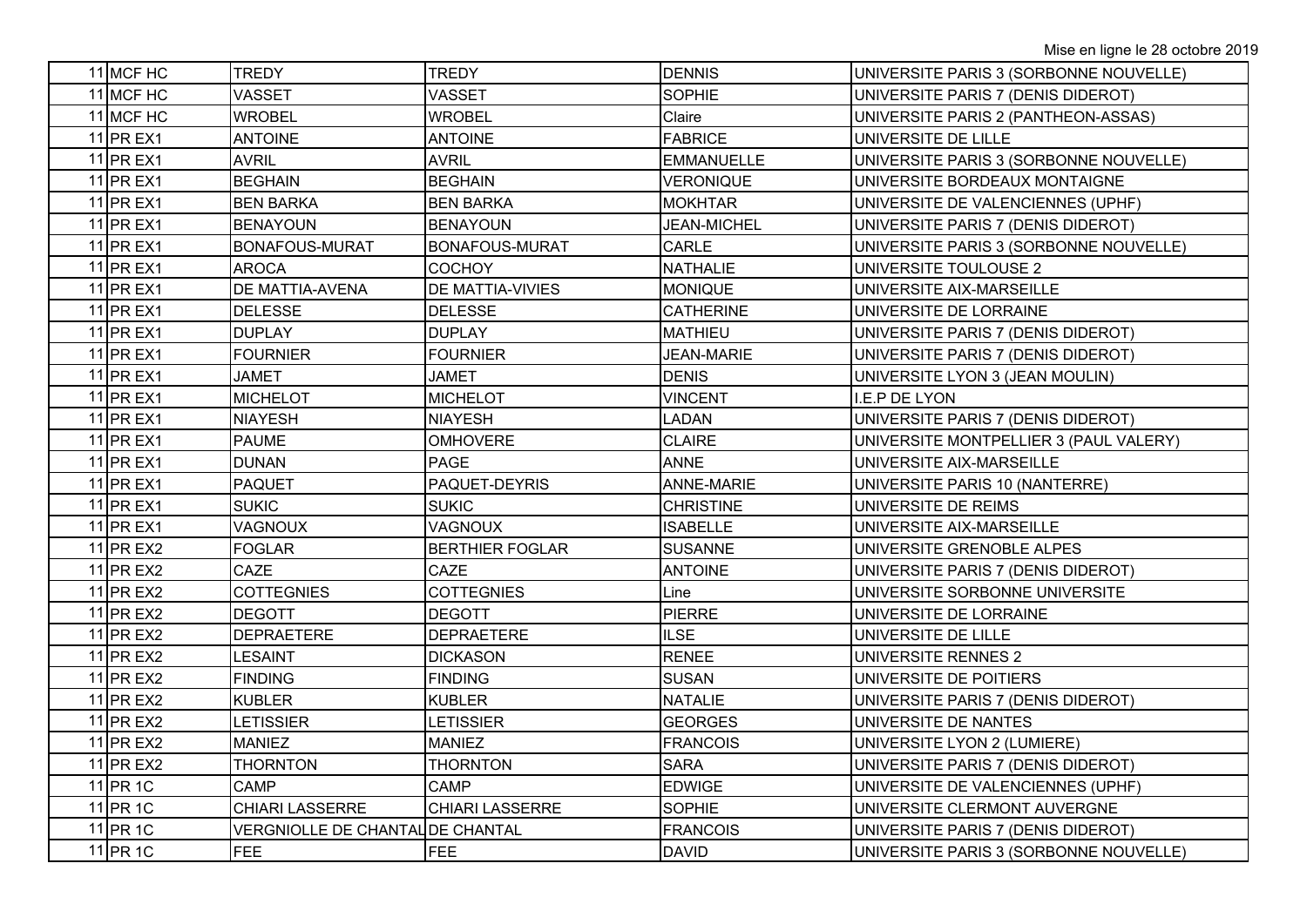| 11 MCF HC | TREDY                                   | <b>TREDY</b>            | <b>DENNIS</b>      | UNIVERSITE PARIS 3 (SORBONNE NOUVELLE) |
|-----------|-----------------------------------------|-------------------------|--------------------|----------------------------------------|
| 11 MCF HC | <b>VASSET</b>                           | <b>VASSET</b>           | <b>SOPHIE</b>      | UNIVERSITE PARIS 7 (DENIS DIDEROT)     |
| 11 MCF HC | <b>WROBEL</b>                           | <b>WROBEL</b>           | Claire             | UNIVERSITE PARIS 2 (PANTHEON-ASSAS)    |
| 11 PR EX1 | <b>ANTOINE</b>                          | <b>ANTOINE</b>          | <b>FABRICE</b>     | UNIVERSITE DE LILLE                    |
| 11 PR EX1 | <b>AVRIL</b>                            | <b>AVRIL</b>            | <b>EMMANUELLE</b>  | UNIVERSITE PARIS 3 (SORBONNE NOUVELLE) |
| 11 PR EX1 | <b>BEGHAIN</b>                          | <b>BEGHAIN</b>          | <b>VERONIQUE</b>   | UNIVERSITE BORDEAUX MONTAIGNE          |
| 11 PR EX1 | <b>BEN BARKA</b>                        | <b>BEN BARKA</b>        | <b>MOKHTAR</b>     | UNIVERSITE DE VALENCIENNES (UPHF)      |
| 11 PR EX1 | <b>BENAYOUN</b>                         | <b>BENAYOUN</b>         | <b>JEAN-MICHEL</b> | UNIVERSITE PARIS 7 (DENIS DIDEROT)     |
| 11 PR EX1 | BONAFOUS-MURAT                          | <b>BONAFOUS-MURAT</b>   | CARLE              | UNIVERSITE PARIS 3 (SORBONNE NOUVELLE) |
| 11 PR EX1 | <b>AROCA</b>                            | <b>COCHOY</b>           | <b>NATHALIE</b>    | UNIVERSITE TOULOUSE 2                  |
| 11 PR EX1 | DE MATTIA-AVENA                         | <b>DE MATTIA-VIVIES</b> | <b>MONIQUE</b>     | UNIVERSITE AIX-MARSEILLE               |
| 11 PR EX1 | <b>DELESSE</b>                          | <b>DELESSE</b>          | <b>CATHERINE</b>   | UNIVERSITE DE LORRAINE                 |
| 11 PR EX1 | <b>DUPLAY</b>                           | <b>DUPLAY</b>           | <b>MATHIEU</b>     | UNIVERSITE PARIS 7 (DENIS DIDEROT)     |
| 11 PR EX1 | <b>FOURNIER</b>                         | <b>FOURNIER</b>         | JEAN-MARIE         | UNIVERSITE PARIS 7 (DENIS DIDEROT)     |
| 11 PR EX1 | <b>JAMET</b>                            | <b>JAMET</b>            | <b>DENIS</b>       | UNIVERSITE LYON 3 (JEAN MOULIN)        |
| 11 PR EX1 | <b>MICHELOT</b>                         | <b>MICHELOT</b>         | <b>VINCENT</b>     | I.E.P DE LYON                          |
| 11 PR EX1 | <b>NIAYESH</b>                          | <b>NIAYESH</b>          | <b>LADAN</b>       | UNIVERSITE PARIS 7 (DENIS DIDEROT)     |
| 11 PR EX1 | <b>PAUME</b>                            | <b>OMHOVERE</b>         | <b>CLAIRE</b>      | UNIVERSITE MONTPELLIER 3 (PAUL VALERY) |
| 11 PR EX1 | <b>DUNAN</b>                            | PAGE                    | <b>ANNE</b>        | UNIVERSITE AIX-MARSEILLE               |
| 11 PR EX1 | <b>PAQUET</b>                           | PAQUET-DEYRIS           | <b>ANNE-MARIE</b>  | UNIVERSITE PARIS 10 (NANTERRE)         |
| 11 PR EX1 | <b>SUKIC</b>                            | <b>SUKIC</b>            | <b>CHRISTINE</b>   | UNIVERSITE DE REIMS                    |
| 11 PR EX1 | <b>VAGNOUX</b>                          | <b>VAGNOUX</b>          | <b>ISABELLE</b>    | UNIVERSITE AIX-MARSEILLE               |
| 11 PR EX2 | <b>FOGLAR</b>                           | <b>BERTHIER FOGLAR</b>  | <b>SUSANNE</b>     | UNIVERSITE GRENOBLE ALPES              |
| 11 PR EX2 | CAZE                                    | <b>CAZE</b>             | <b>ANTOINE</b>     | UNIVERSITE PARIS 7 (DENIS DIDEROT)     |
| 11 PR EX2 | <b>COTTEGNIES</b>                       | <b>COTTEGNIES</b>       | Line               | UNIVERSITE SORBONNE UNIVERSITE         |
| 11 PR EX2 | <b>DEGOTT</b>                           | <b>DEGOTT</b>           | <b>PIERRE</b>      | UNIVERSITE DE LORRAINE                 |
| 11 PR EX2 | <b>DEPRAETERE</b>                       | <b>DEPRAETERE</b>       | <b>ILSE</b>        | UNIVERSITE DE LILLE                    |
| 11 PR EX2 | <b>LESAINT</b>                          | <b>DICKASON</b>         | <b>RENEE</b>       | UNIVERSITE RENNES 2                    |
| 11 PR EX2 | <b>FINDING</b>                          | <b>FINDING</b>          | <b>SUSAN</b>       | UNIVERSITE DE POITIERS                 |
| 11 PR EX2 | <b>KUBLER</b>                           | <b>KUBLER</b>           | <b>NATALIE</b>     | UNIVERSITE PARIS 7 (DENIS DIDEROT)     |
| 11 PR EX2 | <b>LETISSIER</b>                        | <b>LETISSIER</b>        | <b>GEORGES</b>     | UNIVERSITE DE NANTES                   |
| 11 PR EX2 | <b>MANIEZ</b>                           | <b>MANIEZ</b>           | <b>FRANCOIS</b>    | UNIVERSITE LYON 2 (LUMIERE)            |
| 11 PR EX2 | <b>THORNTON</b>                         | <b>THORNTON</b>         | <b>SARA</b>        | UNIVERSITE PARIS 7 (DENIS DIDEROT)     |
| 11 PR 1C  | CAMP                                    | <b>CAMP</b>             | <b>EDWIGE</b>      | UNIVERSITE DE VALENCIENNES (UPHF)      |
| 11 PR 1C  | <b>CHIARI LASSERRE</b>                  | <b>CHIARI LASSERRE</b>  | <b>SOPHIE</b>      | UNIVERSITE CLERMONT AUVERGNE           |
| 11 PR 1C  | <b>VERGNIOLLE DE CHANTAL DE CHANTAL</b> |                         | <b>FRANCOIS</b>    | UNIVERSITE PARIS 7 (DENIS DIDEROT)     |
| 11 PR 1C  | <b>FEE</b>                              | <b>FEE</b>              | <b>DAVID</b>       | UNIVERSITE PARIS 3 (SORBONNE NOUVELLE) |